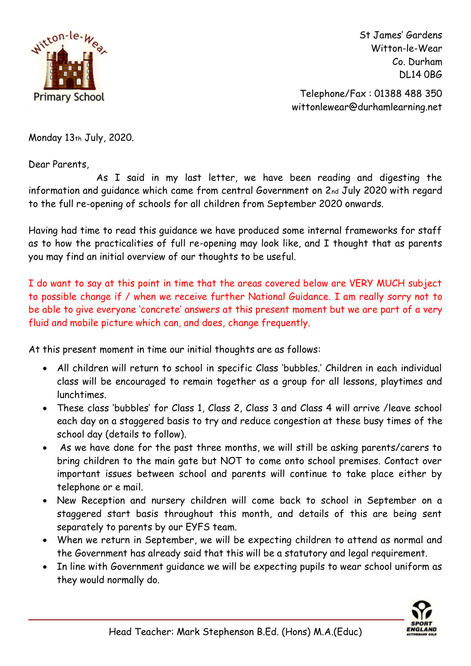

St James' Gardens Witton-le-Wear Co. Durham DL14 0BG

 Telephone/Fax : 01388 488 350 wittonlewear@durhamlearning.net

Monday 13th July, 2020.

Dear Parents,

 As I said in my last letter, we have been reading and digesting the information and guidance which came from central Government on 2nd July 2020 with regard to the full re-opening of schools for all children from September 2020 onwards.

Having had time to read this guidance we have produced some internal frameworks for staff as to how the practicalities of full re-opening may look like, and I thought that as parents you may find an initial overview of our thoughts to be useful.

I do want to say at this point in time that the areas covered below are VERY MUCH subject to possible change if / when we receive further National Guidance. I am really sorry not to be able to give everyone 'concrete' answers at this present moment but we are part of a very fluid and mobile picture which can, and does, change frequently.

At this present moment in time our initial thoughts are as follows:

- All children will return to school in specific Class 'bubbles.' Children in each individual class will be encouraged to remain together as a group for all lessons, playtimes and lunchtimes.
- These class 'bubbles' for Class 1, Class 2, Class 3 and Class 4 will arrive /leave school each day on a staggered basis to try and reduce congestion at these busy times of the school day (details to follow).
- As we have done for the past three months, we will still be asking parents/carers to bring children to the main gate but NOT to come onto school premises. Contact over important issues between school and parents will continue to take place either by telephone or e mail.
- New Reception and nursery children will come back to school in September on a staggered start basis throughout this month, and details of this are being sent separately to parents by our EYFS team.
- When we return in September, we will be expecting children to attend as normal and the Government has already said that this will be a statutory and legal requirement.
- In line with Government guidance we will be expecting pupils to wear school uniform as they would normally do.